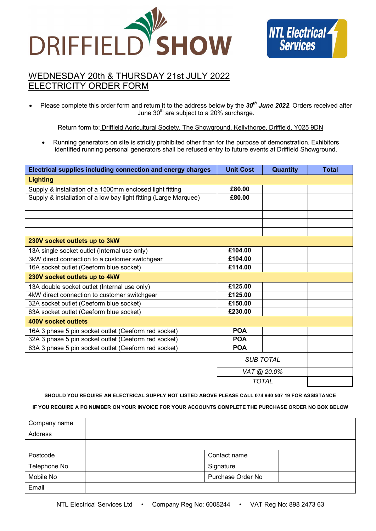



# WEDNESDAY 20th & THURSDAY 21st JULY 2022 TRICITY ORDER FORM

 Please complete this order form and return it to the address below by the *30th June 2022*. Orders received after June  $30<sup>th</sup>$  are subject to a 20% surcharge.

Return form to: Driffield Agricultural Society, The Showground, Kellythorpe, Driffield, Y025 9DN

 Running generators on site is strictly prohibited other than for the purpose of demonstration. Exhibitors identified running personal generators shall be refused entry to future events at Driffield Showground.

| Electrical supplies including connection and energy charges      | <b>Unit Cost</b> | Quantity    | <b>Total</b> |
|------------------------------------------------------------------|------------------|-------------|--------------|
| <b>Lighting</b>                                                  |                  |             |              |
| Supply & installation of a 1500mm enclosed light fitting         | £80.00           |             |              |
| Supply & installation of a low bay light fitting (Large Marquee) | £80.00           |             |              |
|                                                                  |                  |             |              |
|                                                                  |                  |             |              |
|                                                                  |                  |             |              |
|                                                                  |                  |             |              |
| 230V socket outlets up to 3kW                                    |                  |             |              |
| 13A single socket outlet (Internal use only)                     | £104.00          |             |              |
| 3kW direct connection to a customer switchgear                   | £104.00          |             |              |
| 16A socket outlet (Ceeform blue socket)                          | £114.00          |             |              |
| 230V socket outlets up to 4kW                                    |                  |             |              |
| 13A double socket outlet (Internal use only)                     | £125.00          |             |              |
| 4kW direct connection to customer switchgear                     | £125.00          |             |              |
| 32A socket outlet (Ceeform blue socket)                          | £150.00          |             |              |
| 63A socket outlet (Ceeform blue socket)                          | £230.00          |             |              |
| 400V socket outlets                                              |                  |             |              |
| 16A 3 phase 5 pin socket outlet (Ceeform red socket)             | <b>POA</b>       |             |              |
| 32A 3 phase 5 pin socket outlet (Ceeform red socket)             | <b>POA</b>       |             |              |
| 63A 3 phase 5 pin socket outlet (Ceeform red socket)             | <b>POA</b>       |             |              |
|                                                                  | <b>SUB TOTAL</b> |             |              |
|                                                                  |                  | VAT @ 20.0% |              |
|                                                                  | <b>TOTAL</b>     |             |              |

**SHOULD YOU REQUIRE AN ELECTRICAL SUPPLY NOT LISTED ABOVE PLEASE CALL 074 940 507 19 FOR ASSISTANCE**

## **IF YOU REQUIRE A PO NUMBER ON YOUR INVOICE FOR YOUR ACCOUNTS COMPLETE THE PURCHASE ORDER NO BOX BELOW**

| Company name |                   |  |
|--------------|-------------------|--|
| Address      |                   |  |
|              |                   |  |
| Postcode     | Contact name      |  |
| Telephone No | Signature         |  |
| Mobile No    | Purchase Order No |  |
| Email        |                   |  |